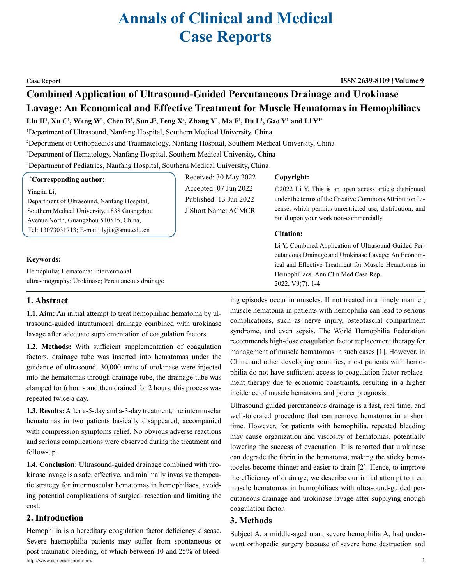# **Annals of Clinical and Medical Case Reports**

#### **Case Report ISSN 2639-8109 Volume 9**

# **Combined Application of Ultrasound-Guided Percutaneous Drainage and Urokinase Lavage: An Economical and Effective Treatment for Muscle Hematomas in Hemophiliacs**

 ${\bf L}$ iu  ${\bf H}^{\rm I}$ ,  ${\bf X}$ u C' ${\bf V}$ , Wang W' ${\bf V}$ , Chen B<sup>2</sup>, Sun J<sup>3</sup>, Feng X<sup>4</sup>, Zhang Y<sup>1</sup>, Ma F<sup>1</sup>, Du L<sup>1</sup>, Gao Y<sup>1</sup> and Li Y<sup>1</sup>\*

1 Department of Ultrasound, Nanfang Hospital, Southern Medical University, China

2 Deportment of Orthopaedics and Traumatology, Nanfang Hospital, Southern Medical University, China

3 Department of Hematology, Nanfang Hospital, Southern Medical University, China

4 Department of Pediatrics, Nanfang Hospital, Southern Medical University, China

#### **\* Corresponding author:**

#### Yingjia Li,

Department of Ultrasound, Nanfang Hospital, Southern Medical University, 1838 Guangzhou Avenue North, Guangzhou 510515, China, Tel: 13073031713; E-mail: lyjia@smu.edu.cn

#### **Keywords:**

Hemophilia; Hematoma; Interventional ultrasonography; Urokinase; Percutaneous drainage

## Received: 30 May 2022 Accepted: 07 Jun 2022 Published: 13 Jun 2022 J Short Name: ACMCR

#### **Copyright:**

©2022 Li Y. This is an open access article distributed under the terms of the Creative Commons Attribution License, which permits unrestricted use, distribution, and build upon your work non-commercially.

#### **Citation:**

Li Y, Combined Application of Ultrasound-Guided Percutaneous Drainage and Urokinase Lavage: An Economical and Effective Treatment for Muscle Hematomas in Hemophiliacs. Ann Clin Med Case Rep. 2022; V9(7): 1-4

#### **1. Abstract**

**1.1. Aim:** An initial attempt to treat hemophiliac hematoma by ultrasound-guided intratumoral drainage combined with urokinase lavage after adequate supplementation of coagulation factors.

**1.2. Methods:** With sufficient supplementation of coagulation factors, drainage tube was inserted into hematomas under the guidance of ultrasound. 30,000 units of urokinase were injected into the hematomas through drainage tube, the drainage tube was clamped for 6 hours and then drained for 2 hours, this process was repeated twice a day.

**1.3. Results:** After a-5-day and a-3-day treatment, the intermusclar hematomas in two patients basically disappeared, accompanied with compression symptoms relief. No obvious adverse reactions and serious complications were observed during the treatment and follow-up.

**1.4. Conclusion:** Ultrasound-guided drainage combined with urokinase lavage is a safe, effective, and minimally invasive therapeutic strategy for intermuscular hematomas in hemophiliacs, avoiding potential complications of surgical resection and limiting the cost.

#### **2. Introduction**

http://www.acmcasereport.com/ 1 Hemophilia is a hereditary coagulation factor deficiency disease. Severe haemophilia patients may suffer from spontaneous or post-traumatic bleeding, of which between 10 and 25% of bleed-

ing episodes occur in muscles. If not treated in a timely manner, muscle hematoma in patients with hemophilia can lead to serious complications, such as nerve injury, osteofascial compartment syndrome, and even sepsis. The World Hemophilia Federation recommends high-dose coagulation factor replacement therapy for management of muscle hematomas in such cases [1]. However, in China and other developing countries, most patients with hemophilia do not have sufficient access to coagulation factor replacement therapy due to economic constraints, resulting in a higher incidence of muscle hematoma and poorer prognosis.

Ultrasound-guided percutaneous drainage is a fast, real-time, and well-tolerated procedure that can remove hematoma in a short time. However, for patients with hemophilia, repeated bleeding may cause organization and viscosity of hematomas, potentially lowering the success of evacuation. It is reported that urokinase can degrade the fibrin in the hematoma, making the sticky hematoceles become thinner and easier to drain [2]. Hence, to improve the efficiency of drainage, we describe our initial attempt to treat muscle hematomas in hemophiliacs with ultrasound-guided percutaneous drainage and urokinase lavage after supplying enough coagulation factor.

#### **3. Methods**

Subject A, a middle-aged man, severe hemophilia A, had underwent orthopedic surgery because of severe bone destruction and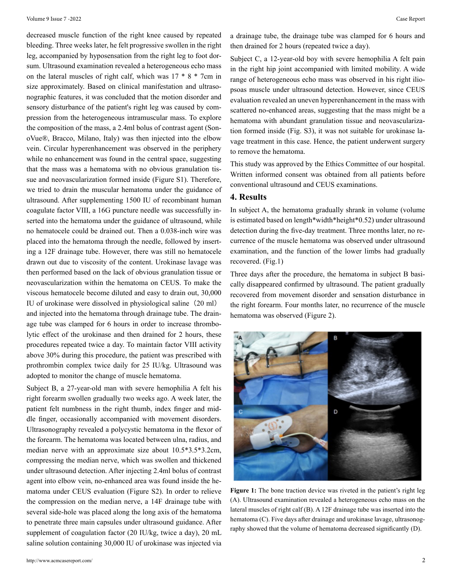decreased muscle function of the right knee caused by repeated bleeding. Three weeks later, he felt progressive swollen in the right leg, accompanied by hyposensation from the right leg to foot dorsum. Ultrasound examination revealed a heterogeneous echo mass on the lateral muscles of right calf, which was 17 \* 8 \* 7cm in size approximately. Based on clinical manifestation and ultrasonographic features, it was concluded that the motion disorder and sensory disturbance of the patient's right leg was caused by compression from the heterogeneous intramuscular mass. To explore the composition of the mass, a 2.4ml bolus of contrast agent (SonoVue®, Bracco, Milano, Italy) was then injected into the elbow vein. Circular hyperenhancement was observed in the periphery while no enhancement was found in the central space, suggesting that the mass was a hematoma with no obvious granulation tissue and neovascularization formed inside (Figure S1). Therefore, we tried to drain the muscular hematoma under the guidance of ultrasound. After supplementing 1500 IU of recombinant human coagulate factor VIII, a 16G puncture needle was successfully inserted into the hematoma under the guidance of ultrasound, while no hematocele could be drained out. Then a 0.038-inch wire was placed into the hematoma through the needle, followed by inserting a 12F drainage tube. However, there was still no hematocele drawn out due to viscosity of the content. Urokinase lavage was then performed based on the lack of obvious granulation tissue or neovascularization within the hematoma on CEUS. To make the viscous hematocele become diluted and easy to drain out, 30,000 IU of urokinase were dissolved in physiological saline (20 ml) and injected into the hematoma through drainage tube. The drain-

age tube was clamped for 6 hours in order to increase thrombolytic effect of the urokinase and then drained for 2 hours, these procedures repeated twice a day. To maintain factor VIII activity above 30% during this procedure, the patient was prescribed with prothrombin complex twice daily for 25 IU/kg. Ultrasound was adopted to monitor the change of muscle hematoma.

Subject B, a 27-year-old man with severe hemophilia A felt his right forearm swollen gradually two weeks ago. A week later, the patient felt numbness in the right thumb, index finger and middle finger, occasionally accompanied with movement disorders. Ultrasonography revealed a polycystic hematoma in the flexor of the forearm. The hematoma was located between ulna, radius, and median nerve with an approximate size about 10.5\*3.5\*3.2cm, compressing the median nerve, which was swollen and thickened under ultrasound detection. After injecting 2.4ml bolus of contrast agent into elbow vein, no-enhanced area was found inside the hematoma under CEUS evaluation (Figure S2). In order to relieve the compression on the median nerve, a 14F drainage tube with several side-hole was placed along the long axis of the hematoma to penetrate three main capsules under ultrasound guidance. After supplement of coagulation factor (20 IU/kg, twice a day), 20 mL saline solution containing 30,000 IU of urokinase was injected via a drainage tube, the drainage tube was clamped for 6 hours and then drained for 2 hours (repeated twice a day).

Subject C, a 12-year-old boy with severe hemophilia A felt pain in the right hip joint accompanied with limited mobility. A wide range of heterogeneous echo mass was observed in his right iliopsoas muscle under ultrasound detection. However, since CEUS evaluation revealed an uneven hyperenhancement in the mass with scattered no-enhanced areas, suggesting that the mass might be a hematoma with abundant granulation tissue and neovascularization formed inside (Fig. S3), it was not suitable for urokinase lavage treatment in this case. Hence, the patient underwent surgery to remove the hematoma.

This study was approved by the Ethics Committee of our hospital. Written informed consent was obtained from all patients before conventional ultrasound and CEUS examinations.

#### **4. Results**

In subject A, the hematoma gradually shrank in volume (volume is estimated based on length\*width\*height\*0.52) under ultrasound detection during the five-day treatment. Three months later, no recurrence of the muscle hematoma was observed under ultrasound examination, and the function of the lower limbs had gradually recovered. (Fig.1)

Three days after the procedure, the hematoma in subject B basically disappeared confirmed by ultrasound. The patient gradually recovered from movement disorder and sensation disturbance in the right forearm. Four months later, no recurrence of the muscle hematoma was observed (Figure 2).



Figure 1: The bone traction device was riveted in the patient's right leg (A). Ultrasound examination revealed a heterogeneous echo mass on the lateral muscles of right calf (B). A 12F drainage tube was inserted into the hematoma (C). Five days after drainage and urokinase lavage, ultrasonography showed that the volume of hematoma decreased significantly (D).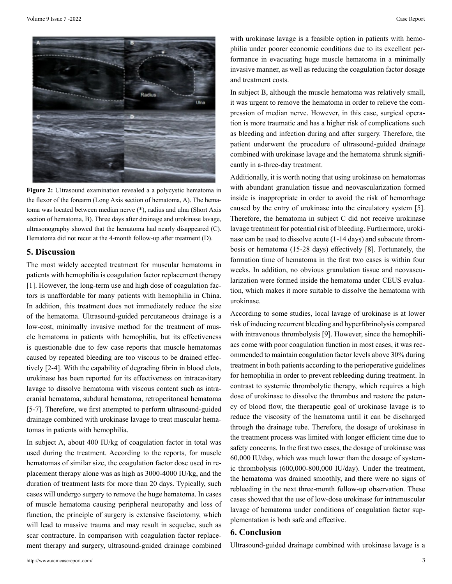

**Figure 2:** Ultrasound examination revealed a a polycystic hematoma in the flexor of the forearm (Long Axis section of hematoma, A). The hematoma was located between median nerve (\*), radius and ulna (Short Axis section of hematoma, B). Three days after drainage and urokinase lavage, ultrasonography showed that the hematoma had nearly disappeared (C). Hematoma did not recur at the 4-month follow-up after treatment (D).

#### **5. Discussion**

The most widely accepted treatment for muscular hematoma in patients with hemophilia is coagulation factor replacement therapy [1]. However, the long-term use and high dose of coagulation factors is unaffordable for many patients with hemophilia in China. In addition, this treatment does not immediately reduce the size of the hematoma. Ultrasound-guided percutaneous drainage is a low-cost, minimally invasive method for the treatment of muscle hematoma in patients with hemophilia, but its effectiveness is questionable due to few case reports that muscle hematomas caused by repeated bleeding are too viscous to be drained effectively [2-4]. With the capability of degrading fibrin in blood clots, urokinase has been reported for its effectiveness on intracavitary lavage to dissolve hematoma with viscous content such as intracranial hematoma, subdural hematoma, retroperitoneal hematoma [5-7]. Therefore, we first attempted to perform ultrasound-guided drainage combined with urokinase lavage to treat muscular hematomas in patients with hemophilia.

In subject A, about 400 IU/kg of coagulation factor in total was used during the treatment. According to the reports, for muscle hematomas of similar size, the coagulation factor dose used in replacement therapy alone was as high as 3000-4000 IU/kg, and the duration of treatment lasts for more than 20 days. Typically, such cases will undergo surgery to remove the huge hematoma. In cases of muscle hematoma causing peripheral neuropathy and loss of function, the principle of surgery is extensive fasciotomy, which will lead to massive trauma and may result in sequelae, such as scar contracture. In comparison with coagulation factor replacement therapy and surgery, ultrasound-guided drainage combined

In subject B, although the muscle hematoma was relatively small, it was urgent to remove the hematoma in order to relieve the compression of median nerve. However, in this case, surgical operation is more traumatic and has a higher risk of complications such as bleeding and infection during and after surgery. Therefore, the patient underwent the procedure of ultrasound-guided drainage combined with urokinase lavage and the hematoma shrunk significantly in a-three-day treatment.

Additionally, it is worth noting that using urokinase on hematomas with abundant granulation tissue and neovascularization formed inside is inappropriate in order to avoid the risk of hemorrhage caused by the entry of urokinase into the circulatory system [5]. Therefore, the hematoma in subject C did not receive urokinase lavage treatment for potential risk of bleeding. Furthermore, urokinase can be used to dissolve acute (1-14 days) and subacute thrombosis or hematoma (15-28 days) effectively [8]. Fortunately, the formation time of hematoma in the first two cases is within four weeks. In addition, no obvious granulation tissue and neovascularization were formed inside the hematoma under CEUS evaluation, which makes it more suitable to dissolve the hematoma with urokinase.

According to some studies, local lavage of urokinase is at lower risk of inducing recurrent bleeding and hyperfibrinolysis compared with intravenous thrombolysis [9]. However, since the hemophiliacs come with poor coagulation function in most cases, it was recommended to maintain coagulation factor levels above 30% during treatment in both patients according to the perioperative guidelines for hemophilia in order to prevent rebleeding during treatment. In contrast to systemic thrombolytic therapy, which requires a high dose of urokinase to dissolve the thrombus and restore the patency of blood flow, the therapeutic goal of urokinase lavage is to reduce the viscosity of the hematoma until it can be discharged through the drainage tube. Therefore, the dosage of urokinase in the treatment process was limited with longer efficient time due to safety concerns. In the first two cases, the dosage of urokinase was 60,000 IU/day, which was much lower than the dosage of systemic thrombolysis (600,000-800,000 IU/day). Under the treatment, the hematoma was drained smoothly, and there were no signs of rebleeding in the next three-month follow-up observation. These cases showed that the use of low-dose urokinase for intramuscular lavage of hematoma under conditions of coagulation factor supplementation is both safe and effective.

### **6. Conclusion**

Ultrasound-guided drainage combined with urokinase lavage is a